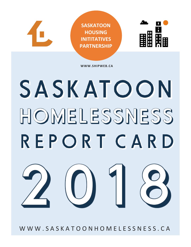

**WWW.SHIPWEB.CA**

# SASKATOON HOMELESSNESS REPORT CARD



W W W . S A S K A T O O N H O M E L E S S N E S S . C A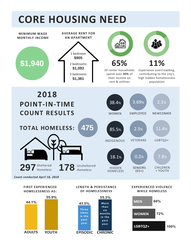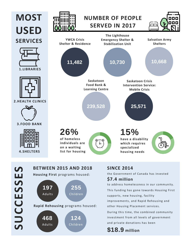

**SUCCESSES**



### **SINCE 2014**

the Government of Canada has invested

#### **\$7.4 million**

to address homelessness in our community. This funding has gone towards Housing First supports, new housing, facility improvements, and Rapid Rehousing and other Housing Placement services.

During this time, the combined community investment from all levels of government and private donations has been

**\$18.9 million**